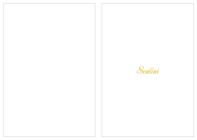